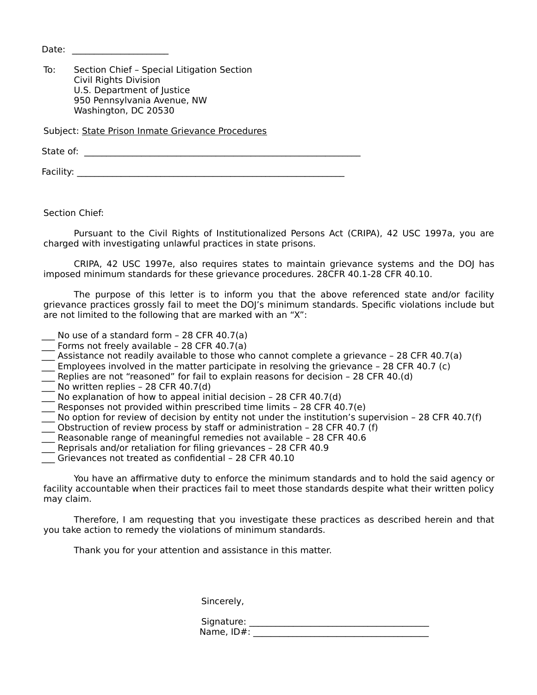Date:  $\Box$ 

To: Section Chief – Special Litigation Section Civil Rights Division U.S. Department of Justice 950 Pennsylvania Avenue, NW Washington, DC 20530

Subject: State Prison Inmate Grievance Procedures

State of: \_\_\_\_\_\_\_\_\_\_\_\_\_\_\_\_\_\_\_\_\_\_\_\_\_\_\_\_\_\_\_\_\_\_\_\_\_\_\_\_\_\_\_\_\_\_\_\_\_\_\_\_\_\_\_\_\_\_\_\_\_\_\_

Facility: \_\_\_\_\_\_\_\_\_\_\_\_\_\_\_\_\_\_\_\_\_\_\_\_\_\_\_\_\_\_\_\_\_\_\_\_\_\_\_\_\_\_\_\_\_\_\_\_\_\_\_\_\_\_\_\_\_\_\_\_\_

Section Chief:

Pursuant to the Civil Rights of Institutionalized Persons Act (CRIPA), 42 USC 1997a, you are charged with investigating unlawful practices in state prisons.

CRIPA, 42 USC 1997e, also requires states to maintain grievance systems and the DOJ has imposed minimum standards for these grievance procedures. 28CFR 40.1-28 CFR 40.10.

The purpose of this letter is to inform you that the above referenced state and/or facility grievance practices grossly fail to meet the DOJ's minimum standards. Specific violations include but are not limited to the following that are marked with an "X":

- No use of a standard form  $-$  28 CFR 40.7(a)
- \_\_\_ Forms not freely available 28 CFR 40.7(a)
- Assistance not readily available to those who cannot complete a grievance 28 CFR 40.7(a)
- \_\_\_ Employees involved in the matter participate in resolving the grievance 28 CFR 40.7 (c)
- Replies are not "reasoned" for fail to explain reasons for decision 28 CFR 40.(d)
- No written replies 28 CFR 40.7(d)
- No explanation of how to appeal initial decision 28 CFR 40.7(d)
- Responses not provided within prescribed time limits 28 CFR 40.7(e)
- \_\_\_ No option for review of decision by entity not under the institution's supervision 28 CFR 40.7(f)
- $\overline{\phantom{a}}$  Obstruction of review process by staff or administration 28 CFR 40.7 (f)
- Reasonable range of meaningful remedies not available 28 CFR 40.6
- $\equiv$  Reprisals and/or retaliation for filing grievances 28 CFR 40.9
- \_\_\_ Grievances not treated as confidential 28 CFR 40.10

You have an affirmative duty to enforce the minimum standards and to hold the said agency or facility accountable when their practices fail to meet those standards despite what their written policy may claim.

Therefore, I am requesting that you investigate these practices as described herein and that you take action to remedy the violations of minimum standards.

Thank you for your attention and assistance in this matter.

Sincerely,

| Signature: |  |
|------------|--|
| Name, ID#: |  |